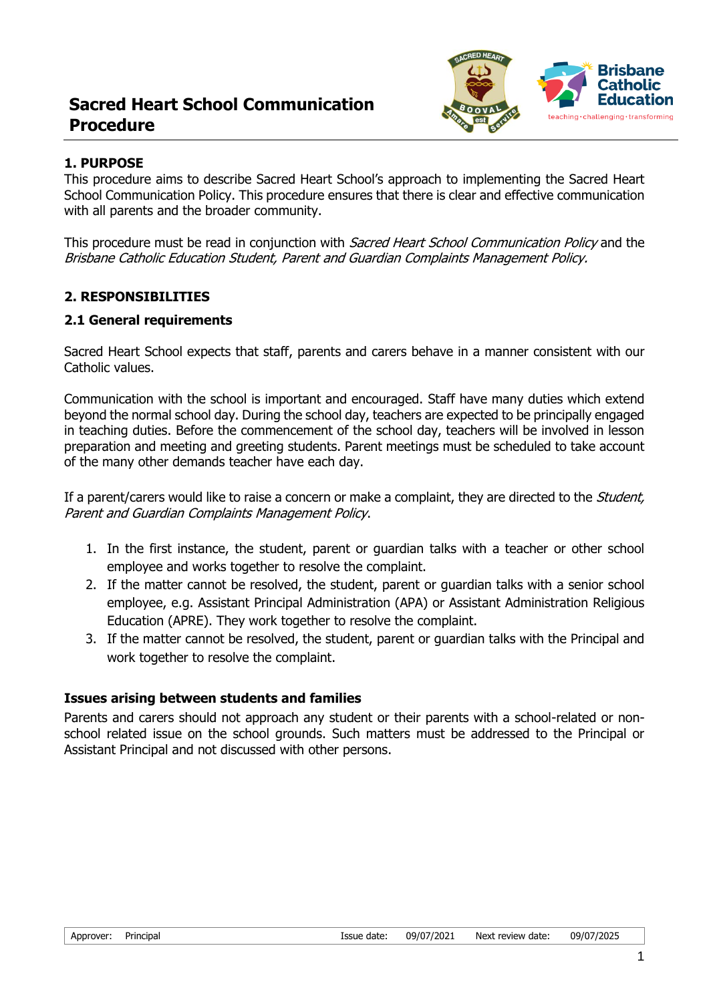# **Sacred Heart School Communication Procedure**



#### **1. PURPOSE**

This procedure aims to describe Sacred Heart School's approach to implementing the Sacred Heart School Communication Policy. This procedure ensures that there is clear and effective communication with all parents and the broader community.

This procedure must be read in conjunction with *Sacred Heart School Communication Policy* and the Brisbane Catholic Education Student, Parent and Guardian Complaints Management Policy.

## **2. RESPONSIBILITIES**

#### **2.1 General requirements**

Sacred Heart School expects that staff, parents and carers behave in a manner consistent with our Catholic values.

Communication with the school is important and encouraged. Staff have many duties which extend beyond the normal school day. During the school day, teachers are expected to be principally engaged in teaching duties. Before the commencement of the school day, teachers will be involved in lesson preparation and meeting and greeting students. Parent meetings must be scheduled to take account of the many other demands teacher have each day.

If a parent/carers would like to raise a concern or make a complaint, they are directed to the *Student*, Parent and Guardian Complaints Management Policy.

- 1. In the first instance, the student, parent or guardian talks with a teacher or other school employee and works together to resolve the complaint.
- 2. If the matter cannot be resolved, the student, parent or guardian talks with a senior school employee, e.g. Assistant Principal Administration (APA) or Assistant Administration Religious Education (APRE). They work together to resolve the complaint.
- 3. If the matter cannot be resolved, the student, parent or guardian talks with the Principal and work together to resolve the complaint.

#### **Issues arising between students and families**

Parents and carers should not approach any student or their parents with a school-related or nonschool related issue on the school grounds. Such matters must be addressed to the Principal or Assistant Principal and not discussed with other persons.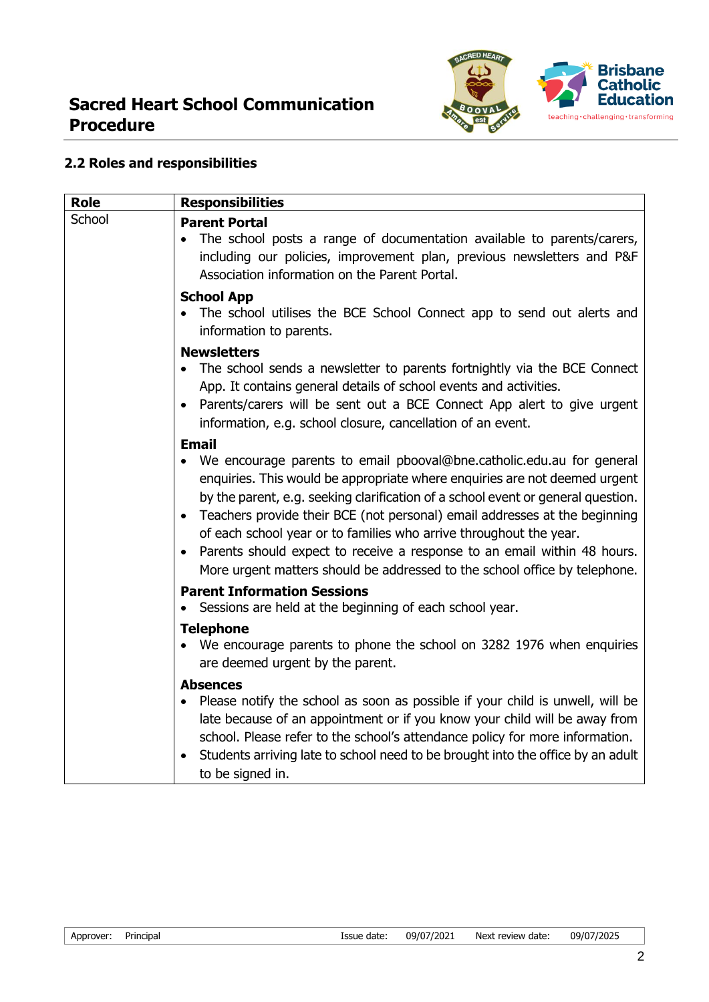

## **2.2 Roles and responsibilities**

| <b>Role</b> | <b>Responsibilities</b>                                                                                                                                                                                                                                                                                                                                                                                                                                                                                                                                                            |  |  |
|-------------|------------------------------------------------------------------------------------------------------------------------------------------------------------------------------------------------------------------------------------------------------------------------------------------------------------------------------------------------------------------------------------------------------------------------------------------------------------------------------------------------------------------------------------------------------------------------------------|--|--|
| School      | <b>Parent Portal</b><br>The school posts a range of documentation available to parents/carers,<br>including our policies, improvement plan, previous newsletters and P&F<br>Association information on the Parent Portal.                                                                                                                                                                                                                                                                                                                                                          |  |  |
|             | <b>School App</b><br>The school utilises the BCE School Connect app to send out alerts and<br>information to parents.                                                                                                                                                                                                                                                                                                                                                                                                                                                              |  |  |
|             | <b>Newsletters</b><br>The school sends a newsletter to parents fortnightly via the BCE Connect<br>$\bullet$<br>App. It contains general details of school events and activities.<br>Parents/carers will be sent out a BCE Connect App alert to give urgent<br>information, e.g. school closure, cancellation of an event.                                                                                                                                                                                                                                                          |  |  |
|             | <b>Email</b><br>We encourage parents to email pbooval@bne.catholic.edu.au for general<br>enquiries. This would be appropriate where enquiries are not deemed urgent<br>by the parent, e.g. seeking clarification of a school event or general question.<br>Teachers provide their BCE (not personal) email addresses at the beginning<br>of each school year or to families who arrive throughout the year.<br>Parents should expect to receive a response to an email within 48 hours.<br>$\bullet$<br>More urgent matters should be addressed to the school office by telephone. |  |  |
|             | <b>Parent Information Sessions</b><br>Sessions are held at the beginning of each school year.                                                                                                                                                                                                                                                                                                                                                                                                                                                                                      |  |  |
|             | <b>Telephone</b><br>We encourage parents to phone the school on 3282 1976 when enquiries<br>are deemed urgent by the parent.                                                                                                                                                                                                                                                                                                                                                                                                                                                       |  |  |
|             | <b>Absences</b><br>Please notify the school as soon as possible if your child is unwell, will be<br>$\bullet$<br>late because of an appointment or if you know your child will be away from<br>school. Please refer to the school's attendance policy for more information.<br>Students arriving late to school need to be brought into the office by an adult<br>to be signed in.                                                                                                                                                                                                 |  |  |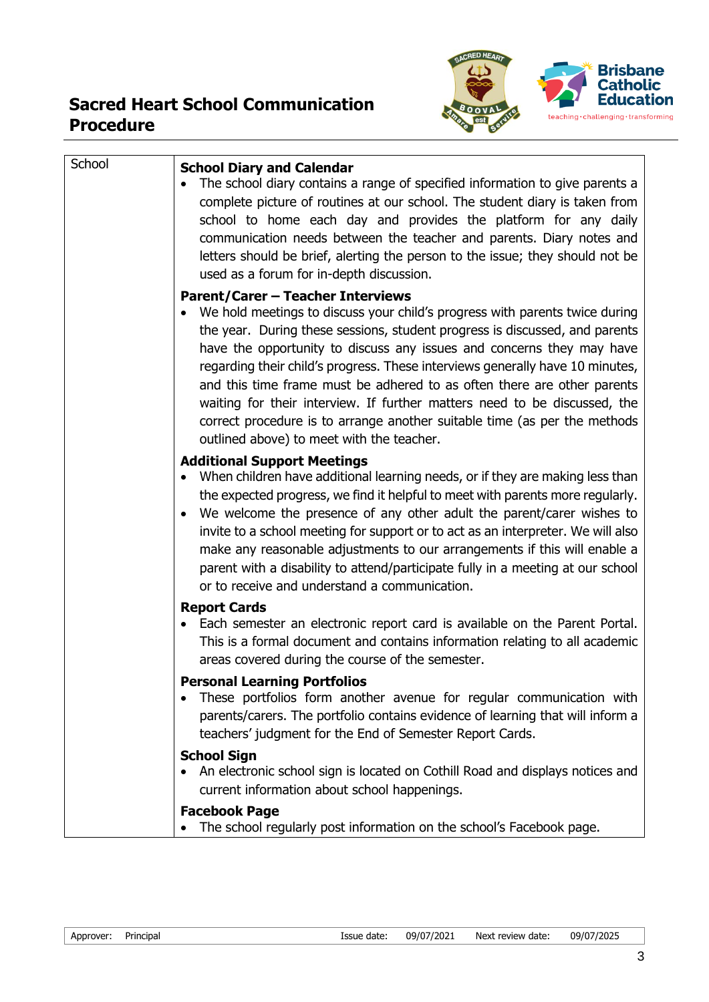

| School | <b>School Diary and Calendar</b>                                                                                                                                                                                                                                                                                                                                                                                                                                                                                                                                                                              |  |  |  |
|--------|---------------------------------------------------------------------------------------------------------------------------------------------------------------------------------------------------------------------------------------------------------------------------------------------------------------------------------------------------------------------------------------------------------------------------------------------------------------------------------------------------------------------------------------------------------------------------------------------------------------|--|--|--|
|        | The school diary contains a range of specified information to give parents a<br>complete picture of routines at our school. The student diary is taken from<br>school to home each day and provides the platform for any daily<br>communication needs between the teacher and parents. Diary notes and<br>letters should be brief, alerting the person to the issue; they should not be<br>used as a forum for in-depth discussion.                                                                                                                                                                           |  |  |  |
|        | <b>Parent/Carer - Teacher Interviews</b>                                                                                                                                                                                                                                                                                                                                                                                                                                                                                                                                                                      |  |  |  |
|        | We hold meetings to discuss your child's progress with parents twice during<br>the year. During these sessions, student progress is discussed, and parents<br>have the opportunity to discuss any issues and concerns they may have<br>regarding their child's progress. These interviews generally have 10 minutes,<br>and this time frame must be adhered to as often there are other parents<br>waiting for their interview. If further matters need to be discussed, the<br>correct procedure is to arrange another suitable time (as per the methods<br>outlined above) to meet with the teacher.        |  |  |  |
|        | <b>Additional Support Meetings</b><br>When children have additional learning needs, or if they are making less than<br>$\bullet$<br>the expected progress, we find it helpful to meet with parents more regularly.<br>We welcome the presence of any other adult the parent/carer wishes to<br>$\bullet$<br>invite to a school meeting for support or to act as an interpreter. We will also<br>make any reasonable adjustments to our arrangements if this will enable a<br>parent with a disability to attend/participate fully in a meeting at our school<br>or to receive and understand a communication. |  |  |  |
|        | <b>Report Cards</b>                                                                                                                                                                                                                                                                                                                                                                                                                                                                                                                                                                                           |  |  |  |
|        | Each semester an electronic report card is available on the Parent Portal.<br>$\bullet$<br>This is a formal document and contains information relating to all academic<br>areas covered during the course of the semester.                                                                                                                                                                                                                                                                                                                                                                                    |  |  |  |
|        | <b>Personal Learning Portfolios</b><br>These portfolios form another avenue for regular communication with<br>parents/carers. The portfolio contains evidence of learning that will inform a<br>teachers' judgment for the End of Semester Report Cards.                                                                                                                                                                                                                                                                                                                                                      |  |  |  |
|        | <b>School Sign</b><br>An electronic school sign is located on Cothill Road and displays notices and<br>current information about school happenings.                                                                                                                                                                                                                                                                                                                                                                                                                                                           |  |  |  |
|        | <b>Facebook Page</b><br>The school regularly post information on the school's Facebook page.                                                                                                                                                                                                                                                                                                                                                                                                                                                                                                                  |  |  |  |